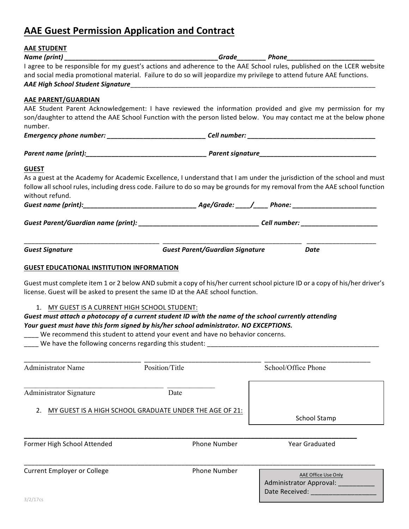# **AAE Guest Permission Application and Contract**

| <b>AAE STUDENT</b>                                     |                                                                                                                      |                                                                                                                            |
|--------------------------------------------------------|----------------------------------------------------------------------------------------------------------------------|----------------------------------------------------------------------------------------------------------------------------|
| Name (print) $\_$                                      |                                                                                                                      |                                                                                                                            |
|                                                        | and social media promotional material. Failure to do so will jeopardize my privilege to attend future AAE functions. | I agree to be responsible for my guest's actions and adherence to the AAE School rules, published on the LCER website      |
| AAE PARENT/GUARDIAN                                    |                                                                                                                      |                                                                                                                            |
|                                                        |                                                                                                                      | AAE Student Parent Acknowledgement: I have reviewed the information provided and give my permission for my                 |
| number.                                                |                                                                                                                      | son/daughter to attend the AAE School Function with the person listed below. You may contact me at the below phone         |
|                                                        |                                                                                                                      |                                                                                                                            |
|                                                        |                                                                                                                      |                                                                                                                            |
| <b>GUEST</b>                                           |                                                                                                                      |                                                                                                                            |
|                                                        |                                                                                                                      | As a guest at the Academy for Academic Excellence, I understand that I am under the jurisdiction of the school and must    |
| without refund.                                        |                                                                                                                      | follow all school rules, including dress code. Failure to do so may be grounds for my removal from the AAE school function |
|                                                        |                                                                                                                      |                                                                                                                            |
|                                                        |                                                                                                                      | Guest Parent/Guardian name (print): __________________________________Cell number: ______________________                  |
|                                                        |                                                                                                                      |                                                                                                                            |
| <b>Guest Signature</b>                                 | <b>Guest Parent/Guardian Signature</b>                                                                               | <b>Date</b>                                                                                                                |
| <b>GUEST EDUCATIONAL INSTITUTION INFORMATION</b>       |                                                                                                                      |                                                                                                                            |
|                                                        | license. Guest will be asked to present the same ID at the AAE school function.                                      | Guest must complete item 1 or 2 below AND submit a copy of his/her current school picture ID or a copy of his/her driver's |
| 1. MY GUEST IS A CURRENT HIGH SCHOOL STUDENT:          |                                                                                                                      |                                                                                                                            |
|                                                        | Guest must attach a photocopy of a current student ID with the name of the school currently attending                |                                                                                                                            |
|                                                        | Your guest must have this form signed by his/her school administrator. NO EXCEPTIONS.                                |                                                                                                                            |
|                                                        | We recommend this student to attend your event and have no behavior concerns.                                        |                                                                                                                            |
| We have the following concerns regarding this student: |                                                                                                                      |                                                                                                                            |
| <b>Administrator Name</b>                              | Position/Title                                                                                                       | School/Office Phone                                                                                                        |
|                                                        |                                                                                                                      |                                                                                                                            |
| <b>Administrator Signature</b>                         | Date                                                                                                                 |                                                                                                                            |
|                                                        |                                                                                                                      |                                                                                                                            |
| 2.                                                     | MY GUEST IS A HIGH SCHOOL GRADUATE UNDER THE AGE OF 21:                                                              |                                                                                                                            |
|                                                        |                                                                                                                      | School Stamp                                                                                                               |
|                                                        |                                                                                                                      |                                                                                                                            |
| Former High School Attended                            | <b>Phone Number</b>                                                                                                  | Year Graduated                                                                                                             |
| <b>Current Employer or College</b>                     | <b>Phone Number</b>                                                                                                  |                                                                                                                            |
|                                                        |                                                                                                                      | AAE Office Use Only                                                                                                        |
|                                                        |                                                                                                                      | Administrator Approval: _____<br>Date Received: ________________                                                           |
| 3/2/17cs                                               |                                                                                                                      |                                                                                                                            |